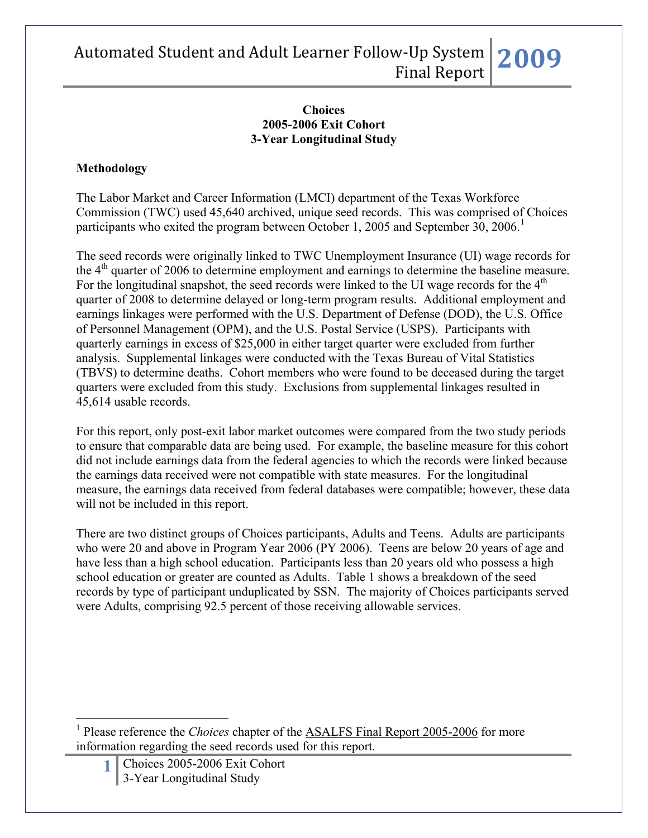#### **Choices 2005-2006 Exit Cohort 3-Year Longitudinal Study**

### **Methodology**

The Labor Market and Career Information (LMCI) department of the Texas Workforce Commission (TWC) used 45,640 archived, unique seed records. This was comprised of Choices participants who exited the program between October [1](#page-0-0), 2005 and September 30, 2006.<sup>1</sup>

The seed records were originally linked to TWC Unemployment Insurance (UI) wage records for the  $4<sup>th</sup>$  quarter of 2006 to determine employment and earnings to determine the baseline measure. For the longitudinal snapshot, the seed records were linked to the UI wage records for the  $4<sup>th</sup>$ quarter of 2008 to determine delayed or long-term program results. Additional employment and earnings linkages were performed with the U.S. Department of Defense (DOD), the U.S. Office of Personnel Management (OPM), and the U.S. Postal Service (USPS). Participants with quarterly earnings in excess of \$25,000 in either target quarter were excluded from further analysis. Supplemental linkages were conducted with the Texas Bureau of Vital Statistics (TBVS) to determine deaths. Cohort members who were found to be deceased during the target quarters were excluded from this study. Exclusions from supplemental linkages resulted in 45,614 usable records.

For this report, only post-exit labor market outcomes were compared from the two study periods to ensure that comparable data are being used. For example, the baseline measure for this cohort did not include earnings data from the federal agencies to which the records were linked because the earnings data received were not compatible with state measures. For the longitudinal measure, the earnings data received from federal databases were compatible; however, these data will not be included in this report.

There are two distinct groups of Choices participants, Adults and Teens. Adults are participants who were 20 and above in Program Year 2006 (PY 2006). Teens are below 20 years of age and have less than a high school education. Participants less than 20 years old who possess a high school education or greater are counted as Adults. Table 1 shows a breakdown of the seed records by type of participant unduplicated by SSN. The majority of Choices participants served were Adults, comprising 92.5 percent of those receiving allowable services.

<span id="page-0-0"></span><sup>1</sup> Please reference the *Choices* chapter of the **ASALFS** Final Report 2005-2006 for more information regarding the seed records used for this report.

1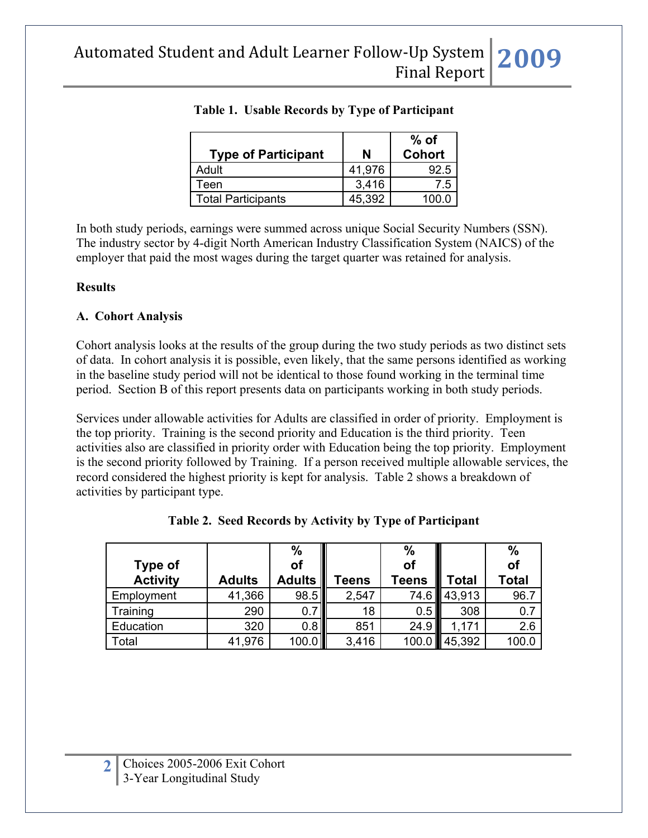| <b>Type of Participant</b> | N      | $%$ of<br><b>Cohort</b> |
|----------------------------|--------|-------------------------|
| Adult                      | 41,976 | 92.5                    |
| Teen                       | 3,416  | 7.5                     |
| <b>Total Participants</b>  | 45.392 | 100 C                   |

## **Table 1. Usable Records by Type of Participant**

In both study periods, earnings were summed across unique Social Security Numbers (SSN). The industry sector by 4-digit North American Industry Classification System (NAICS) of the employer that paid the most wages during the target quarter was retained for analysis.

#### **Results**

### **A. Cohort Analysis**

Cohort analysis looks at the results of the group during the two study periods as two distinct sets of data. In cohort analysis it is possible, even likely, that the same persons identified as working in the baseline study period will not be identical to those found working in the terminal time period. Section B of this report presents data on participants working in both study periods.

Services under allowable activities for Adults are classified in order of priority. Employment is the top priority. Training is the second priority and Education is the third priority. Teen activities also are classified in priority order with Education being the top priority. Employment is the second priority followed by Training. If a person received multiple allowable services, the record considered the highest priority is kept for analysis. Table 2 shows a breakdown of activities by participant type.

|                 |               | $\frac{0}{0}$ |       | $\%$  |        | $\frac{0}{0}$ |
|-----------------|---------------|---------------|-------|-------|--------|---------------|
| Type of         |               | οf            |       | of    |        | of            |
| <b>Activity</b> | <b>Adults</b> | <b>Adults</b> | eens  | Teens | Total  | Total         |
| Employment      | 41,366        | 98.5          | 2,547 | 74.6  | 43,913 | 96.7          |
| Training        | 290           | 0.            | 18    | 0.5   | 308    | 0.7           |
| Education       | 320           | 0.8           | 851   | 24.9  | 1.171  | 2.6           |
| Total           | 41,976        | 100.0         | 3,416 |       | 45,392 | 100.0         |

| Table 2. Seed Records by Activity by Type of Participant |
|----------------------------------------------------------|
|----------------------------------------------------------|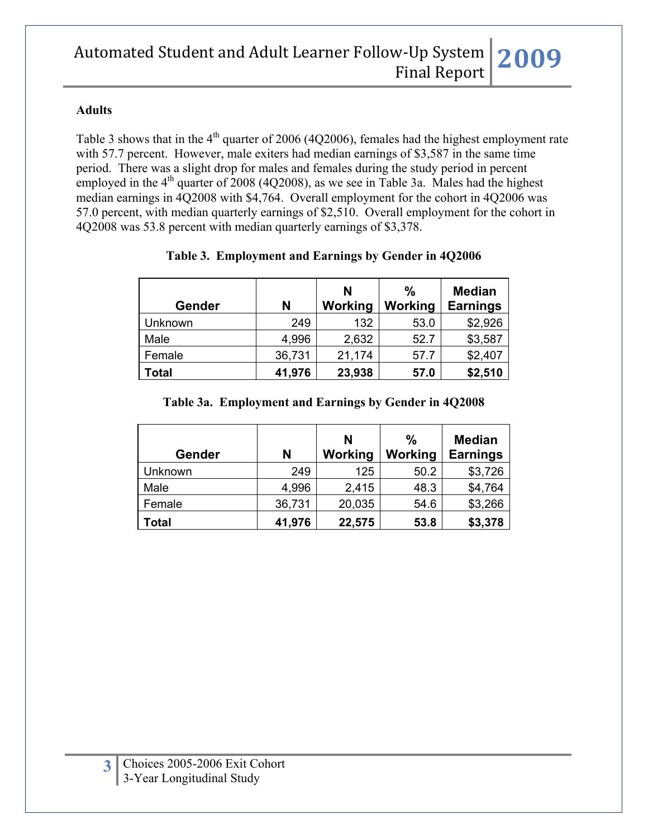#### **Adults**

Table 3 shows that in the  $4<sup>th</sup>$  quarter of 2006 (4Q2006), females had the highest employment rate with 57.7 percent. However, male exiters had median earnings of \$3,587 in the same time period. There was a slight drop for males and females during the study period in percent employed in the  $4<sup>th</sup>$  quarter of 2008 (4Q2008), as we see in Table 3a. Males had the highest median earnings in 4Q2008 with \$4,764. Overall employment for the cohort in 4Q2006 was 57.0 percent, with median quarterly earnings of \$2,510. Overall employment for the cohort in 4Q2008 was 53.8 percent with median quarterly earnings of \$3,378.

| Gender  | N      | N<br>Working | %<br>Working | <b>Median</b><br><b>Earnings</b> |
|---------|--------|--------------|--------------|----------------------------------|
| Unknown | 249    | 132          | 53.0         | \$2,926                          |
| Male    | 4,996  | 2,632        | 52.7         | \$3,587                          |
| Female  | 36,731 | 21,174       | 57.7         | \$2,407                          |
| Total   | 41,976 | 23,938       | 57.0         | \$2,510                          |

### **Table 3. Employment and Earnings by Gender in 4Q2006**

#### **Table 3a. Employment and Earnings by Gender in 4Q2008**

| Gender       | N      | N<br>Working | $\frac{0}{0}$<br>Working | <b>Median</b><br><b>Earnings</b> |
|--------------|--------|--------------|--------------------------|----------------------------------|
| Unknown      | 249    | 125          | 50.2                     | \$3,726                          |
| Male         | 4,996  | 2,415        | 48.3                     | \$4,764                          |
| Female       | 36,731 | 20,035       | 54.6                     | \$3,266                          |
| <b>Total</b> | 41,976 | 22,575       | 53.8                     | \$3,378                          |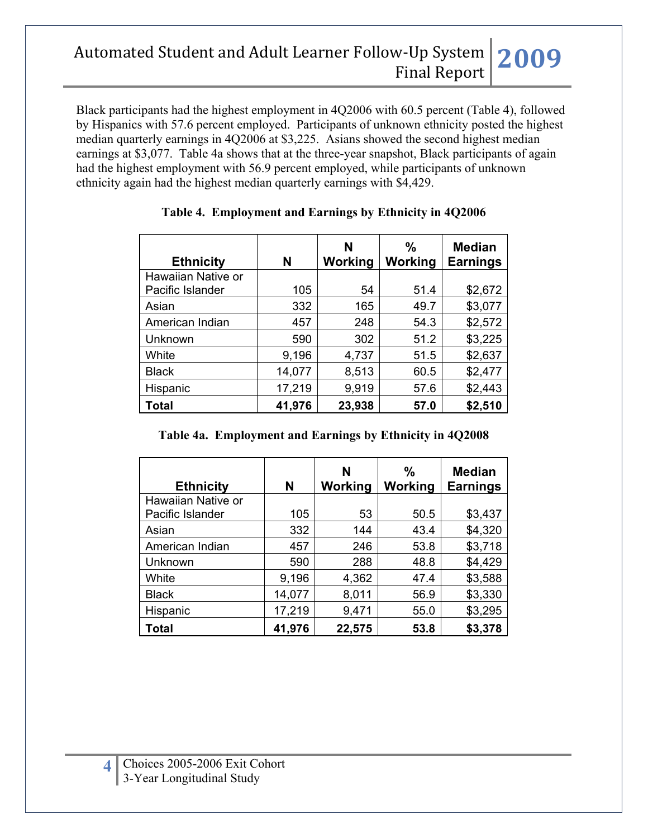Black participants had the highest employment in 4Q2006 with 60.5 percent (Table 4), followed by Hispanics with 57.6 percent employed. Participants of unknown ethnicity posted the highest median quarterly earnings in 4Q2006 at \$3,225. Asians showed the second highest median earnings at \$3,077. Table 4a shows that at the three-year snapshot, Black participants of again had the highest employment with 56.9 percent employed, while participants of unknown ethnicity again had the highest median quarterly earnings with \$4,429.

| <b>Ethnicity</b>   | N      | N<br>Working | $\frac{0}{0}$<br>Working | <b>Median</b><br><b>Earnings</b> |
|--------------------|--------|--------------|--------------------------|----------------------------------|
| Hawaiian Native or |        |              |                          |                                  |
| Pacific Islander   | 105    | 54           | 51.4                     | \$2,672                          |
| Asian              | 332    | 165          | 49.7                     | \$3,077                          |
| American Indian    | 457    | 248          | 54.3                     | \$2,572                          |
| Unknown            | 590    | 302          | 51.2                     | \$3,225                          |
| White              | 9,196  | 4,737        | 51.5                     | \$2,637                          |
| <b>Black</b>       | 14,077 | 8,513        | 60.5                     | \$2,477                          |
| Hispanic           | 17,219 | 9,919        | 57.6                     | \$2,443                          |
| Total              | 41,976 | 23,938       | 57.0                     | \$2,510                          |

### **Table 4. Employment and Earnings by Ethnicity in 4Q2006**

### **Table 4a. Employment and Earnings by Ethnicity in 4Q2008**

| <b>Ethnicity</b>   | N      | N<br>Working | $\frac{0}{0}$<br>Working | <b>Median</b><br><b>Earnings</b> |
|--------------------|--------|--------------|--------------------------|----------------------------------|
| Hawaiian Native or |        |              |                          |                                  |
| Pacific Islander   | 105    | 53           | 50.5                     | \$3,437                          |
| Asian              | 332    | 144          | 43.4                     | \$4,320                          |
| American Indian    | 457    | 246          | 53.8                     | \$3,718                          |
| Unknown            | 590    | 288          | 48.8                     | \$4,429                          |
| White              | 9,196  | 4,362        | 47.4                     | \$3,588                          |
| <b>Black</b>       | 14,077 | 8,011        | 56.9                     | \$3,330                          |
| Hispanic           | 17,219 | 9,471        | 55.0                     | \$3,295                          |
| Total              | 41,976 | 22,575       | 53.8                     | \$3,378                          |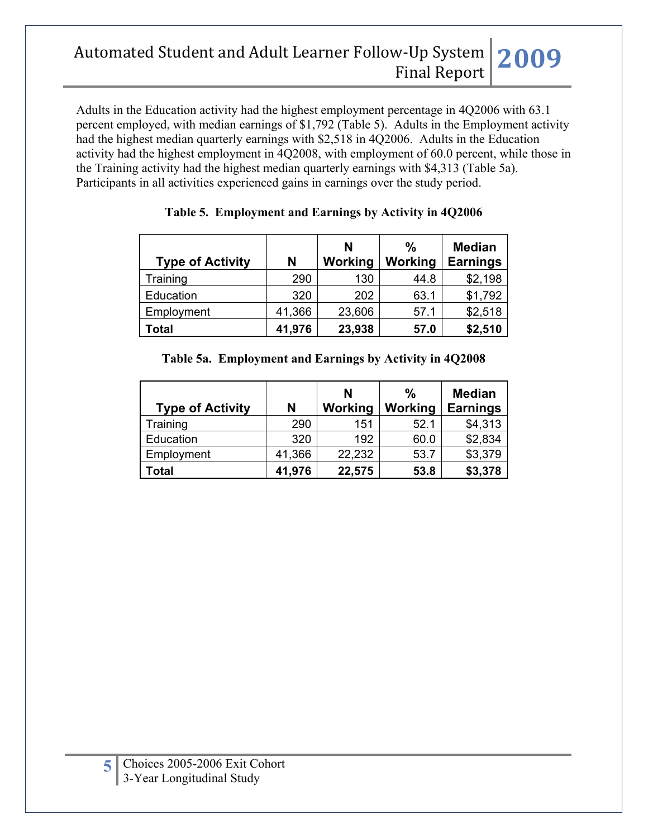Adults in the Education activity had the highest employment percentage in 4Q2006 with 63.1 percent employed, with median earnings of \$1,792 (Table 5). Adults in the Employment activity had the highest median quarterly earnings with \$2,518 in 4Q2006. Adults in the Education activity had the highest employment in 4Q2008, with employment of 60.0 percent, while those in the Training activity had the highest median quarterly earnings with \$4,313 (Table 5a). Participants in all activities experienced gains in earnings over the study period.

| <b>Type of Activity</b> | N      | N<br>Working | $\frac{0}{0}$<br>Working | <b>Median</b><br><b>Earnings</b> |
|-------------------------|--------|--------------|--------------------------|----------------------------------|
| Training                | 290    | 130          | 44.8                     | \$2,198                          |
| Education               | 320    | 202          | 63.1                     | \$1,792                          |
| Employment              | 41,366 | 23,606       | 57.1                     | \$2,518                          |
| Total                   | 41,976 | 23,938       | 57.0                     | \$2,510                          |

### **Table 5. Employment and Earnings by Activity in 4Q2006**

|  |  |  | Table 5a. Employment and Earnings by Activity in 4Q2008 |
|--|--|--|---------------------------------------------------------|
|--|--|--|---------------------------------------------------------|

| <b>Type of Activity</b> | N      | N<br>Working | $\frac{0}{0}$<br>Working | <b>Median</b><br><b>Earnings</b> |
|-------------------------|--------|--------------|--------------------------|----------------------------------|
| Training                | 290    | 151          | 52.1                     | \$4,313                          |
| Education               | 320    | 192          | 60.0                     | \$2,834                          |
| Employment              | 41,366 | 22,232       | 53.7                     | \$3,379                          |
| Total                   | 41,976 | 22,575       | 53.8                     | \$3,378                          |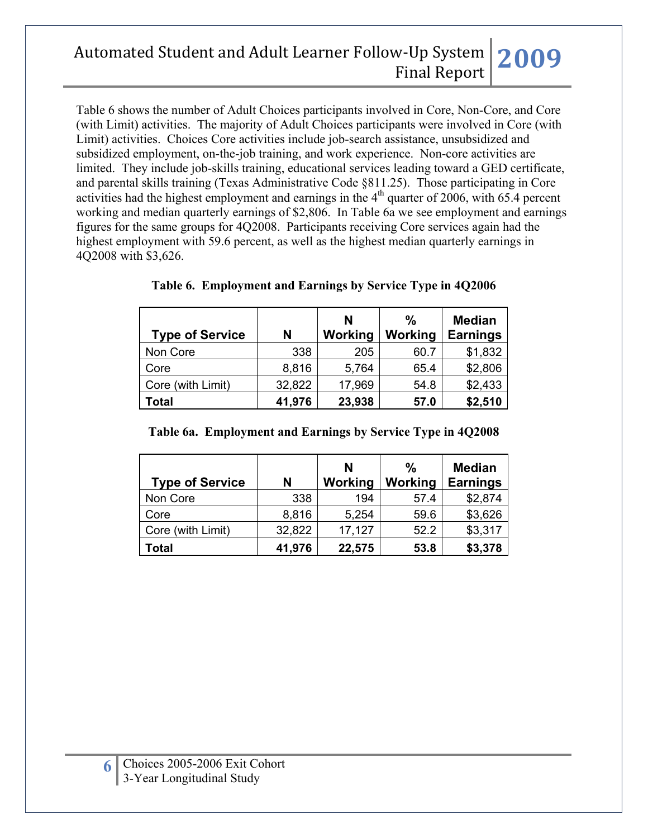Table 6 shows the number of Adult Choices participants involved in Core, Non-Core, and Core (with Limit) activities. The majority of Adult Choices participants were involved in Core (with Limit) activities. Choices Core activities include job-search assistance, unsubsidized and subsidized employment, on-the-job training, and work experience. Non-core activities are limited. They include job-skills training, educational services leading toward a GED certificate, and parental skills training (Texas Administrative Code §811.25). Those participating in Core activities had the highest employment and earnings in the  $4<sup>th</sup>$  quarter of 2006, with 65.4 percent working and median quarterly earnings of \$2,806. In Table 6a we see employment and earnings figures for the same groups for 4Q2008. Participants receiving Core services again had the highest employment with 59.6 percent, as well as the highest median quarterly earnings in 4Q2008 with \$3,626.

| <b>Type of Service</b> | N      | N<br>Working | $\frac{0}{0}$<br>Working | <b>Median</b><br><b>Earnings</b> |
|------------------------|--------|--------------|--------------------------|----------------------------------|
| Non Core               | 338    | 205          | 60.7                     | \$1,832                          |
| Core                   | 8,816  | 5,764        | 65.4                     | \$2,806                          |
| Core (with Limit)      | 32,822 | 17,969       | 54.8                     | \$2,433                          |
| <b>Total</b>           | 41,976 | 23,938       | 57.0                     | \$2,510                          |

**Table 6. Employment and Earnings by Service Type in 4Q2006**

| <b>Type of Service</b> | N      | N<br>Working | $\frac{0}{0}$<br>Working | <b>Median</b><br><b>Earnings</b> |
|------------------------|--------|--------------|--------------------------|----------------------------------|
| Non Core               | 338    | 194          | 57.4                     | \$2,874                          |
| Core                   | 8,816  | 5,254        | 59.6                     | \$3,626                          |
| Core (with Limit)      | 32,822 | 17,127       | 52.2                     | \$3,317                          |
| Total                  | 41,976 | 22,575       | 53.8                     | \$3,378                          |

**Table 6a. Employment and Earnings by Service Type in 4Q2008**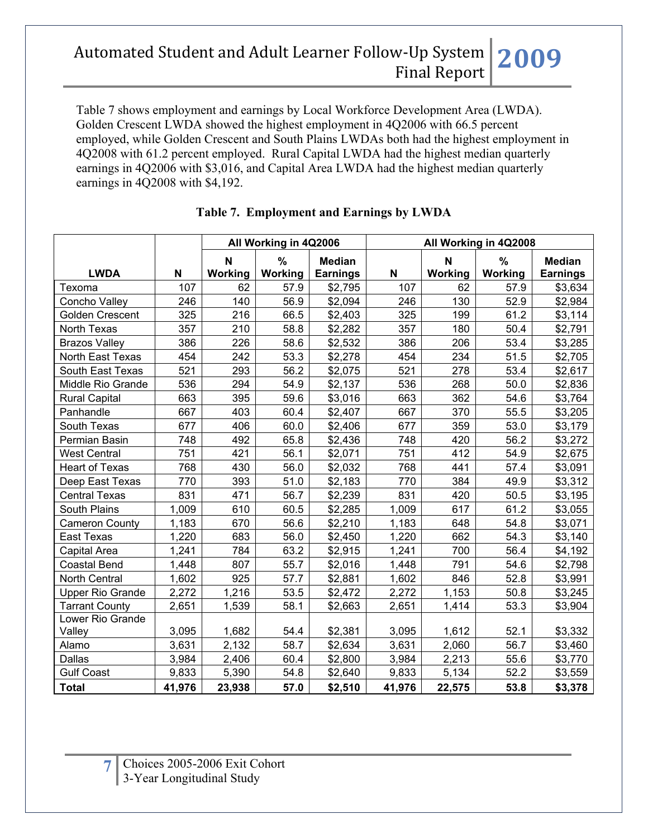Table 7 shows employment and earnings by Local Workforce Development Area (LWDA). Golden Crescent LWDA showed the highest employment in 4Q2006 with 66.5 percent employed, while Golden Crescent and South Plains LWDAs both had the highest employment in 4Q2008 with 61.2 percent employed. Rural Capital LWDA had the highest median quarterly earnings in 4Q2006 with \$3,016, and Capital Area LWDA had the highest median quarterly earnings in 4Q2008 with \$4,192.

|                         |        | All Working in 4Q2006 |                 | All Working in 4Q2008            |        |                        |                 |                                  |
|-------------------------|--------|-----------------------|-----------------|----------------------------------|--------|------------------------|-----------------|----------------------------------|
| <b>LWDA</b>             | N      | N<br>Working          | $\%$<br>Working | <b>Median</b><br><b>Earnings</b> | N      | $\mathbf N$<br>Working | $\%$<br>Working | <b>Median</b><br><b>Earnings</b> |
| Texoma                  | 107    | 62                    | 57.9            | \$2,795                          | 107    | 62                     | 57.9            | \$3,634                          |
| Concho Valley           | 246    | 140                   | 56.9            | \$2,094                          | 246    | 130                    | 52.9            | \$2,984                          |
| Golden Crescent         | 325    | 216                   | 66.5            | \$2,403                          | 325    | 199                    | 61.2            | \$3,114                          |
| North Texas             | 357    | 210                   | 58.8            | \$2,282                          | 357    | 180                    | 50.4            | \$2,791                          |
| <b>Brazos Valley</b>    | 386    | 226                   | 58.6            | \$2,532                          | 386    | 206                    | 53.4            | \$3,285                          |
| North East Texas        | 454    | 242                   | 53.3            | \$2,278                          | 454    | 234                    | 51.5            | \$2,705                          |
| South East Texas        | 521    | 293                   | 56.2            | \$2,075                          | 521    | 278                    | 53.4            | \$2,617                          |
| Middle Rio Grande       | 536    | 294                   | 54.9            | \$2,137                          | 536    | 268                    | 50.0            | \$2,836                          |
| <b>Rural Capital</b>    | 663    | 395                   | 59.6            | \$3,016                          | 663    | 362                    | 54.6            | \$3,764                          |
| Panhandle               | 667    | 403                   | 60.4            | \$2,407                          | 667    | 370                    | 55.5            | \$3,205                          |
| South Texas             | 677    | 406                   | 60.0            | \$2,406                          | 677    | 359                    | 53.0            | \$3,179                          |
| Permian Basin           | 748    | 492                   | 65.8            | \$2,436                          | 748    | 420                    | 56.2            | \$3,272                          |
| <b>West Central</b>     | 751    | 421                   | 56.1            | \$2,071                          | 751    | 412                    | 54.9            | \$2,675                          |
| <b>Heart of Texas</b>   | 768    | 430                   | 56.0            | \$2,032                          | 768    | 441                    | 57.4            | \$3,091                          |
| Deep East Texas         | 770    | 393                   | 51.0            | \$2,183                          | 770    | 384                    | 49.9            | \$3,312                          |
| <b>Central Texas</b>    | 831    | 471                   | 56.7            | \$2,239                          | 831    | 420                    | 50.5            | \$3,195                          |
| South Plains            | 1,009  | 610                   | 60.5            | \$2,285                          | 1,009  | 617                    | 61.2            | \$3,055                          |
| <b>Cameron County</b>   | 1,183  | 670                   | 56.6            | \$2,210                          | 1,183  | 648                    | 54.8            | \$3,071                          |
| East Texas              | 1,220  | 683                   | 56.0            | \$2,450                          | 1,220  | 662                    | 54.3            | \$3,140                          |
| Capital Area            | 1,241  | 784                   | 63.2            | \$2,915                          | 1,241  | 700                    | 56.4            | \$4,192                          |
| <b>Coastal Bend</b>     | 1,448  | 807                   | 55.7            | \$2,016                          | 1,448  | 791                    | 54.6            | \$2,798                          |
| North Central           | 1,602  | 925                   | 57.7            | \$2,881                          | 1,602  | 846                    | 52.8            | \$3,991                          |
| <b>Upper Rio Grande</b> | 2,272  | 1,216                 | 53.5            | \$2,472                          | 2,272  | 1,153                  | 50.8            | \$3,245                          |
| <b>Tarrant County</b>   | 2,651  | 1,539                 | 58.1            | \$2,663                          | 2,651  | 1,414                  | 53.3            | \$3,904                          |
| Lower Rio Grande        |        |                       |                 |                                  |        |                        |                 |                                  |
| Valley                  | 3,095  | 1,682                 | 54.4            | \$2,381                          | 3,095  | 1,612                  | 52.1            | \$3,332                          |
| Alamo                   | 3,631  | 2,132                 | 58.7            | \$2,634                          | 3,631  | 2,060                  | 56.7            | \$3,460                          |
| Dallas                  | 3,984  | 2,406                 | 60.4            | \$2,800                          | 3,984  | 2,213                  | 55.6            | \$3,770                          |
| <b>Gulf Coast</b>       | 9,833  | 5,390                 | 54.8            | \$2,640                          | 9,833  | 5,134                  | 52.2            | \$3,559                          |
| <b>Total</b>            | 41,976 | 23,938                | 57.0            | \$2,510                          | 41,976 | 22,575                 | 53.8            | \$3,378                          |

### **Table 7. Employment and Earnings by LWDA**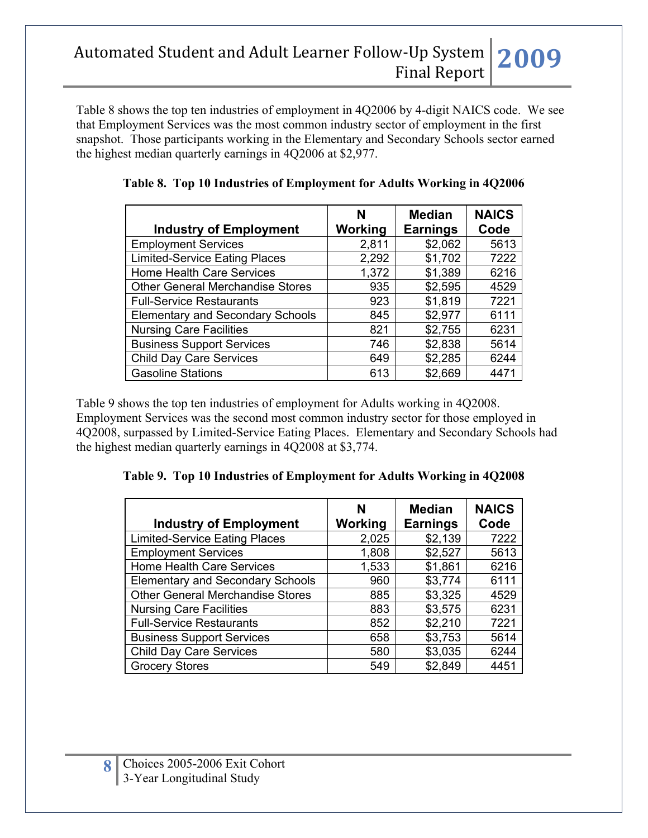Table 8 shows the top ten industries of employment in 4Q2006 by 4-digit NAICS code. We see that Employment Services was the most common industry sector of employment in the first snapshot. Those participants working in the Elementary and Secondary Schools sector earned the highest median quarterly earnings in 4Q2006 at \$2,977.

|                                         | N       | <b>Median</b>   | <b>NAICS</b> |
|-----------------------------------------|---------|-----------------|--------------|
| <b>Industry of Employment</b>           | Working | <b>Earnings</b> | Code         |
| <b>Employment Services</b>              | 2,811   | \$2,062         | 5613         |
| <b>Limited-Service Eating Places</b>    | 2,292   | \$1,702         | 7222         |
| <b>Home Health Care Services</b>        | 1,372   | \$1,389         | 6216         |
| <b>Other General Merchandise Stores</b> | 935     | \$2,595         | 4529         |
| <b>Full-Service Restaurants</b>         | 923     | \$1,819         | 7221         |
| <b>Elementary and Secondary Schools</b> | 845     | \$2,977         | 6111         |
| <b>Nursing Care Facilities</b>          | 821     | \$2,755         | 6231         |
| <b>Business Support Services</b>        | 746     | \$2,838         | 5614         |
| <b>Child Day Care Services</b>          | 649     | \$2,285         | 6244         |
| <b>Gasoline Stations</b>                | 613     | \$2,669         | 4471         |

|  | Table 8. Top 10 Industries of Employment for Adults Working in 4Q2006 |  |  |
|--|-----------------------------------------------------------------------|--|--|
|  |                                                                       |  |  |

Table 9 shows the top ten industries of employment for Adults working in 4Q2008. Employment Services was the second most common industry sector for those employed in 4Q2008, surpassed by Limited-Service Eating Places. Elementary and Secondary Schools had the highest median quarterly earnings in 4Q2008 at \$3,774.

|  | Table 9. Top 10 Industries of Employment for Adults Working in 4Q2008 |  |  |
|--|-----------------------------------------------------------------------|--|--|
|  |                                                                       |  |  |

| <b>Industry of Employment</b>           | N<br>Working | <b>Median</b><br><b>Earnings</b> | <b>NAICS</b><br>Code |
|-----------------------------------------|--------------|----------------------------------|----------------------|
| <b>Limited-Service Eating Places</b>    | 2,025        | \$2,139                          | 7222                 |
| <b>Employment Services</b>              | 1,808        | \$2,527                          | 5613                 |
| <b>Home Health Care Services</b>        | 1,533        | \$1,861                          | 6216                 |
| <b>Elementary and Secondary Schools</b> | 960          | \$3,774                          | 6111                 |
| <b>Other General Merchandise Stores</b> | 885          | \$3,325                          | 4529                 |
| <b>Nursing Care Facilities</b>          | 883          | \$3,575                          | 6231                 |
| <b>Full-Service Restaurants</b>         | 852          | \$2,210                          | 7221                 |
| <b>Business Support Services</b>        | 658          | \$3,753                          | 5614                 |
| <b>Child Day Care Services</b>          | 580          | \$3,035                          | 6244                 |
| <b>Grocery Stores</b>                   | 549          | \$2,849                          | 4451                 |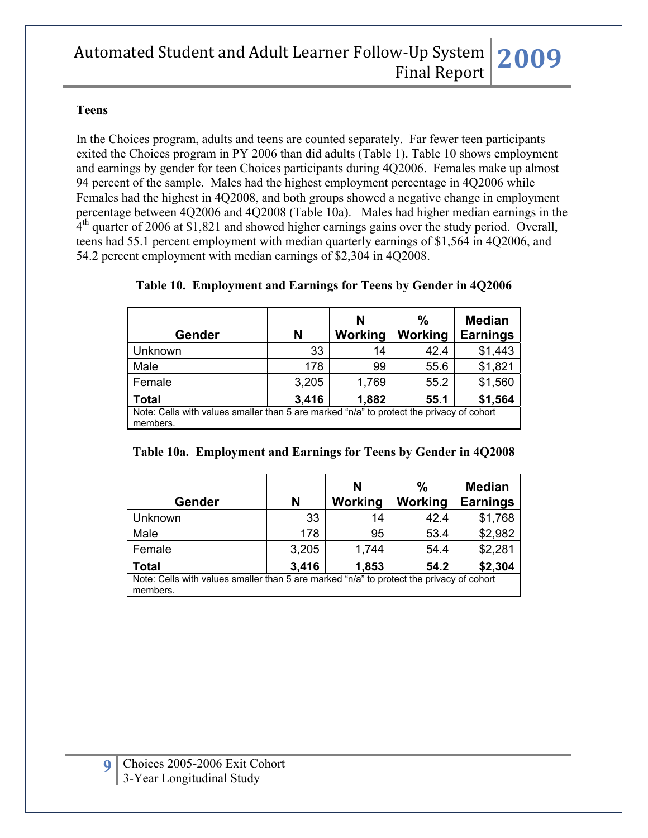#### **Teens**

In the Choices program, adults and teens are counted separately. Far fewer teen participants exited the Choices program in PY 2006 than did adults (Table 1). Table 10 shows employment and earnings by gender for teen Choices participants during 4Q2006. Females make up almost 94 percent of the sample. Males had the highest employment percentage in 4Q2006 while Females had the highest in 4Q2008, and both groups showed a negative change in employment percentage between 4Q2006 and 4Q2008 (Table 10a). Males had higher median earnings in the  $4<sup>th</sup>$  quarter of 2006 at \$1,821 and showed higher earnings gains over the study period. Overall, teens had 55.1 percent employment with median quarterly earnings of \$1,564 in 4Q2006, and 54.2 percent employment with median earnings of \$2,304 in 4Q2008.

| Gender                                                                                               | N     | N<br>Working | %<br>Working | <b>Median</b><br><b>Earnings</b> |  |
|------------------------------------------------------------------------------------------------------|-------|--------------|--------------|----------------------------------|--|
| Unknown                                                                                              | 33    | 14           | 42.4         | \$1,443                          |  |
| Male                                                                                                 | 178   | 99           | 55.6         | \$1,821                          |  |
| Female                                                                                               | 3,205 | 1,769        | 55.2         | \$1,560                          |  |
| <b>Total</b>                                                                                         | 3,416 | 1,882        | 55.1         | \$1,564                          |  |
| Note: Cells with values smaller than 5 are marked "n/a" to protect the privacy of cohort<br>members. |       |              |              |                                  |  |

#### **Table 10. Employment and Earnings for Teens by Gender in 4Q2006**

| Table 10a. Employment and Earnings for Teens by Gender in 4Q2008 |  |  |
|------------------------------------------------------------------|--|--|
|                                                                  |  |  |

| Gender                                                                                               | N     | N<br>Working | ℅<br>Working | <b>Median</b><br><b>Earnings</b> |  |  |
|------------------------------------------------------------------------------------------------------|-------|--------------|--------------|----------------------------------|--|--|
| Unknown                                                                                              | 33    | 14           | 42.4         | \$1,768                          |  |  |
| Male                                                                                                 | 178   | 95           | 53.4         | \$2,982                          |  |  |
| Female                                                                                               | 3,205 | 1,744        | 54.4         | \$2,281                          |  |  |
| <b>Total</b>                                                                                         | 3,416 | 1,853        | 54.2         | \$2,304                          |  |  |
| Note: Cells with values smaller than 5 are marked "n/a" to protect the privacy of cohort<br>members. |       |              |              |                                  |  |  |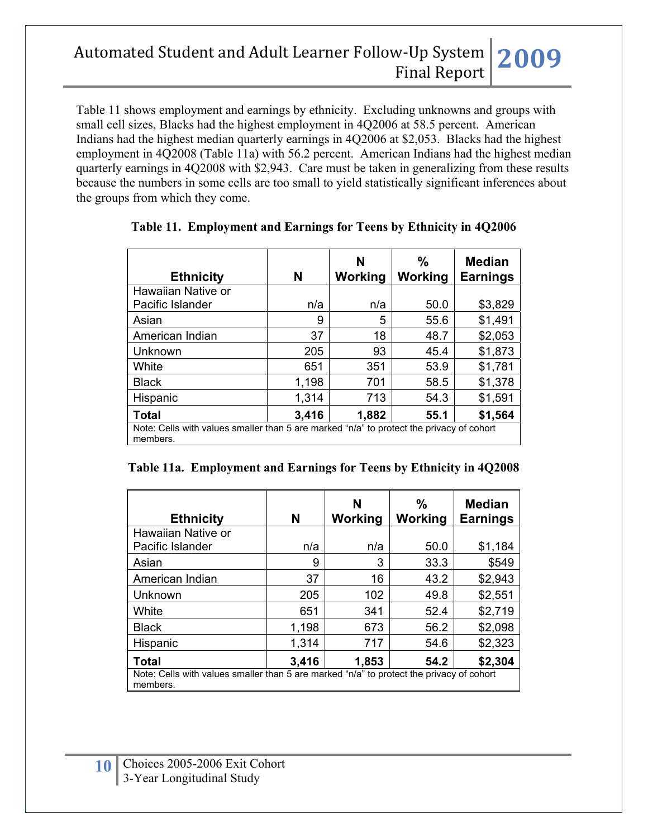Table 11 shows employment and earnings by ethnicity. Excluding unknowns and groups with small cell sizes, Blacks had the highest employment in 4Q2006 at 58.5 percent. American Indians had the highest median quarterly earnings in 4Q2006 at \$2,053. Blacks had the highest employment in 4Q2008 (Table 11a) with 56.2 percent. American Indians had the highest median quarterly earnings in 4Q2008 with \$2,943. Care must be taken in generalizing from these results because the numbers in some cells are too small to yield statistically significant inferences about the groups from which they come.

|                                                                                                      |       | N       | %       | <b>Median</b>   |  |  |
|------------------------------------------------------------------------------------------------------|-------|---------|---------|-----------------|--|--|
| <b>Ethnicity</b>                                                                                     | N     | Working | Working | <b>Earnings</b> |  |  |
| Hawaiian Native or                                                                                   |       |         |         |                 |  |  |
| Pacific Islander                                                                                     | n/a   | n/a     | 50.0    | \$3,829         |  |  |
| Asian                                                                                                | 9     | 5       | 55.6    | \$1,491         |  |  |
| American Indian                                                                                      | 37    | 18      | 48.7    | \$2,053         |  |  |
| Unknown                                                                                              | 205   | 93      | 45.4    | \$1,873         |  |  |
| White                                                                                                | 651   | 351     | 53.9    | \$1,781         |  |  |
| <b>Black</b>                                                                                         | 1,198 | 701     | 58.5    | \$1,378         |  |  |
| Hispanic                                                                                             | 1,314 | 713     | 54.3    | \$1,591         |  |  |
| <b>Total</b>                                                                                         | 3,416 | 1,882   | 55.1    | \$1,564         |  |  |
| Note: Cells with values smaller than 5 are marked "n/a" to protect the privacy of cohort<br>members. |       |         |         |                 |  |  |

#### **Table 11. Employment and Earnings for Teens by Ethnicity in 4Q2006**

|  |  | Table 11a. Employment and Earnings for Teens by Ethnicity in 4Q2008 |
|--|--|---------------------------------------------------------------------|
|  |  |                                                                     |

| <b>Ethnicity</b>                                                                                     | N     | N<br>Working | %<br>Working | <b>Median</b><br><b>Earnings</b> |  |
|------------------------------------------------------------------------------------------------------|-------|--------------|--------------|----------------------------------|--|
| Hawaiian Native or                                                                                   |       |              |              |                                  |  |
| Pacific Islander                                                                                     | n/a   | n/a          | 50.0         | \$1,184                          |  |
| Asian                                                                                                | 9     | 3            | 33.3         | \$549                            |  |
| American Indian                                                                                      | 37    | 16           | 43.2         | \$2,943                          |  |
| Unknown                                                                                              | 205   | 102          | 49.8         | \$2,551                          |  |
| White                                                                                                | 651   | 341          | 52.4         | \$2,719                          |  |
| <b>Black</b>                                                                                         | 1,198 | 673          | 56.2         | \$2,098                          |  |
| Hispanic                                                                                             | 1,314 | 717          | 54.6         | \$2,323                          |  |
| Total                                                                                                | 3,416 | 1,853        | 54.2         | \$2,304                          |  |
| Note: Cells with values smaller than 5 are marked "n/a" to protect the privacy of cohort<br>members. |       |              |              |                                  |  |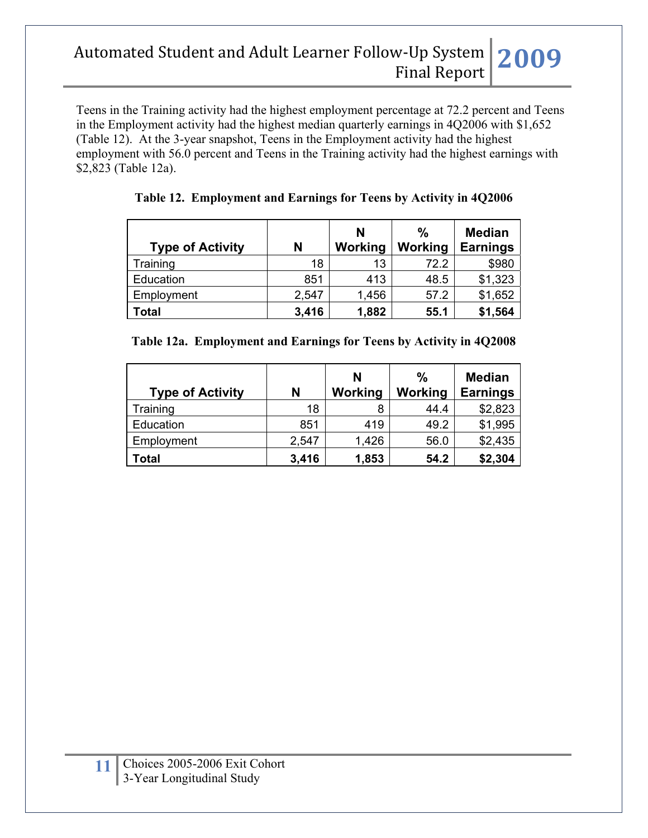Teens in the Training activity had the highest employment percentage at 72.2 percent and Teens in the Employment activity had the highest median quarterly earnings in 4Q2006 with \$1,652 (Table 12). At the 3-year snapshot, Teens in the Employment activity had the highest employment with 56.0 percent and Teens in the Training activity had the highest earnings with \$2,823 (Table 12a).

| <b>Type of Activity</b> | N     | N<br>Working | %<br>Working | <b>Median</b><br><b>Earnings</b> |
|-------------------------|-------|--------------|--------------|----------------------------------|
| Training                | 18    | 13           | 72.2         | \$980                            |
| Education               | 851   | 413          | 48.5         | \$1,323                          |
| Employment              | 2,547 | 1,456        | 57.2         | \$1,652                          |
| <b>Total</b>            | 3,416 | 1,882        | 55.1         | \$1,564                          |

**Table 12. Employment and Earnings for Teens by Activity in 4Q2006**

|  | Table 12a. Employment and Earnings for Teens by Activity in 4Q2008 |  |  |  |  |
|--|--------------------------------------------------------------------|--|--|--|--|
|--|--------------------------------------------------------------------|--|--|--|--|

| <b>Type of Activity</b> | N     | N<br>Working | %<br>Working | <b>Median</b><br><b>Earnings</b> |
|-------------------------|-------|--------------|--------------|----------------------------------|
| Training                | 18    | 8            | 44.4         | \$2,823                          |
| Education               | 851   | 419          | 49.2         | \$1,995                          |
| Employment              | 2,547 | 1,426        | 56.0         | \$2,435                          |
| <b>Total</b>            | 3,416 | 1,853        | 54.2         | \$2,304                          |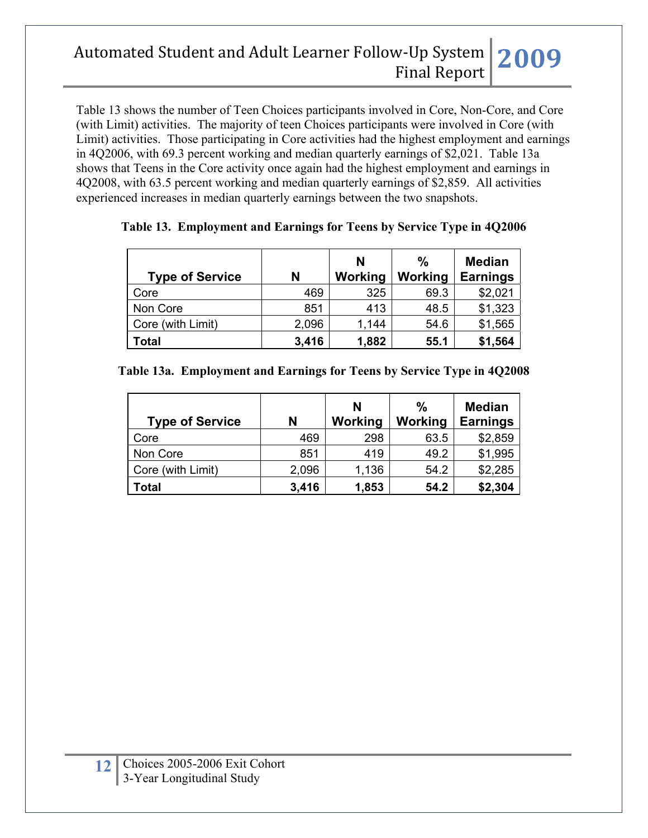Table 13 shows the number of Teen Choices participants involved in Core, Non-Core, and Core (with Limit) activities. The majority of teen Choices participants were involved in Core (with Limit) activities. Those participating in Core activities had the highest employment and earnings in 4Q2006, with 69.3 percent working and median quarterly earnings of \$2,021. Table 13a shows that Teens in the Core activity once again had the highest employment and earnings in 4Q2008, with 63.5 percent working and median quarterly earnings of \$2,859. All activities experienced increases in median quarterly earnings between the two snapshots.

| <b>Type of Service</b> | N     | N<br>Working | %<br>Working | <b>Median</b><br><b>Earnings</b> |
|------------------------|-------|--------------|--------------|----------------------------------|
| Core                   | 469   | 325          | 69.3         | \$2,021                          |
| Non Core               | 851   | 413          | 48.5         | \$1,323                          |
| Core (with Limit)      | 2,096 | 1,144        | 54.6         | \$1,565                          |
| Total                  | 3,416 | 1,882        | 55.1         | \$1,564                          |

**Table 13. Employment and Earnings for Teens by Service Type in 4Q2006** 

|  |  |  | Table 13a. Employment and Earnings for Teens by Service Type in 4Q2008 |  |
|--|--|--|------------------------------------------------------------------------|--|
|--|--|--|------------------------------------------------------------------------|--|

| <b>Type of Service</b> | N     | N<br>Working | $\%$<br>Working | <b>Median</b><br><b>Earnings</b> |
|------------------------|-------|--------------|-----------------|----------------------------------|
| Core                   | 469   | 298          | 63.5            | \$2,859                          |
| Non Core               | 851   | 419          | 49.2            | \$1,995                          |
| Core (with Limit)      | 2,096 | 1,136        | 54.2            | \$2,285                          |
| Total                  | 3,416 | 1,853        | 54.2            | \$2,304                          |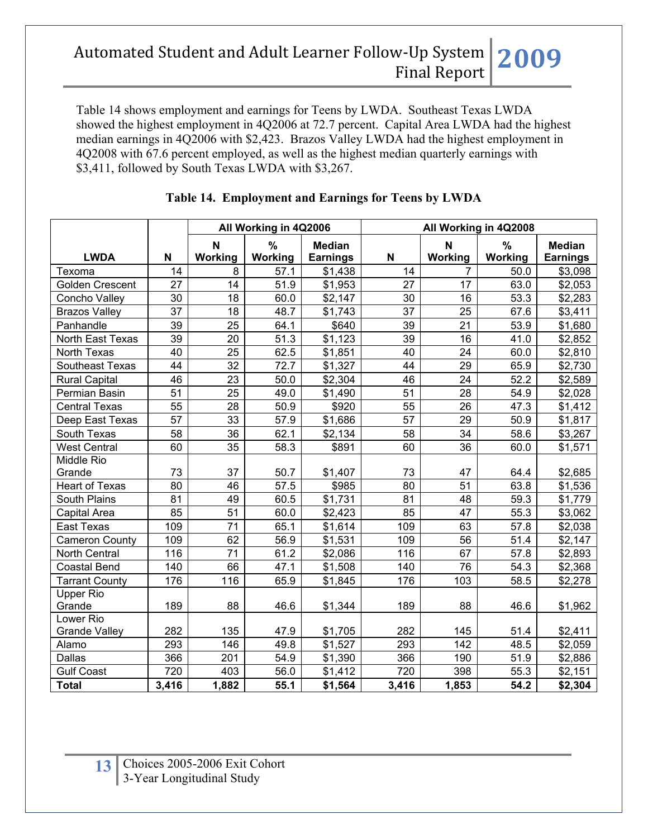Table 14 shows employment and earnings for Teens by LWDA. Southeast Texas LWDA showed the highest employment in 4Q2006 at 72.7 percent. Capital Area LWDA had the highest median earnings in 4Q2006 with \$2,423. Brazos Valley LWDA had the highest employment in 4Q2008 with 67.6 percent employed, as well as the highest median quarterly earnings with \$3,411, followed by South Texas LWDA with \$3,267.

|                        |       | All Working in 4Q2006 |         | All Working in 4Q2008 |       |         |         |                 |
|------------------------|-------|-----------------------|---------|-----------------------|-------|---------|---------|-----------------|
|                        |       | $\mathbf N$           | %       | <b>Median</b>         |       | N       | %       | Median          |
| <b>LWDA</b>            | N     | Working               | Working | <b>Earnings</b>       | N     | Working | Working | <b>Earnings</b> |
| Texoma                 | 14    | 8                     | 57.1    | \$1,438               | 14    | 7       | 50.0    | \$3,098         |
| <b>Golden Crescent</b> | 27    | 14                    | 51.9    | \$1,953               | 27    | 17      | 63.0    | \$2,053         |
| Concho Valley          | 30    | 18                    | 60.0    | \$2,147               | 30    | 16      | 53.3    | \$2,283         |
| <b>Brazos Valley</b>   | 37    | 18                    | 48.7    | \$1,743               | 37    | 25      | 67.6    | \$3,411         |
| Panhandle              | 39    | 25                    | 64.1    | \$640                 | 39    | 21      | 53.9    | \$1,680         |
| North East Texas       | 39    | 20                    | 51.3    | \$1,123               | 39    | 16      | 41.0    | \$2,852         |
| North Texas            | 40    | 25                    | 62.5    | \$1,851               | 40    | 24      | 60.0    | \$2,810         |
| Southeast Texas        | 44    | 32                    | 72.7    | \$1,327               | 44    | 29      | 65.9    | \$2,730         |
| <b>Rural Capital</b>   | 46    | 23                    | 50.0    | \$2,304               | 46    | 24      | 52.2    | \$2,589         |
| Permian Basin          | 51    | 25                    | 49.0    | \$1,490               | 51    | 28      | 54.9    | \$2,028         |
| <b>Central Texas</b>   | 55    | 28                    | 50.9    | \$920                 | 55    | 26      | 47.3    | \$1,412         |
| Deep East Texas        | 57    | 33                    | 57.9    | \$1,686               | 57    | 29      | 50.9    | \$1,817         |
| South Texas            | 58    | 36                    | 62.1    | \$2,134               | 58    | 34      | 58.6    | \$3,267         |
| <b>West Central</b>    | 60    | 35                    | 58.3    | \$891                 | 60    | 36      | 60.0    | \$1,571         |
| Middle Rio             |       |                       |         |                       |       |         |         |                 |
| Grande                 | 73    | 37                    | 50.7    | \$1,407               | 73    | 47      | 64.4    | \$2,685         |
| <b>Heart of Texas</b>  | 80    | 46                    | 57.5    | \$985                 | 80    | 51      | 63.8    | \$1,536         |
| South Plains           | 81    | 49                    | 60.5    | \$1,731               | 81    | 48      | 59.3    | \$1,779         |
| Capital Area           | 85    | 51                    | 60.0    | \$2,423               | 85    | 47      | 55.3    | \$3,062         |
| <b>East Texas</b>      | 109   | 71                    | 65.1    | \$1,614               | 109   | 63      | 57.8    | \$2,038         |
| Cameron County         | 109   | 62                    | 56.9    | \$1,531               | 109   | 56      | 51.4    | \$2,147         |
| <b>North Central</b>   | 116   | 71                    | 61.2    | \$2,086               | 116   | 67      | 57.8    | \$2,893         |
| <b>Coastal Bend</b>    | 140   | 66                    | 47.1    | \$1,508               | 140   | 76      | 54.3    | \$2,368         |
| <b>Tarrant County</b>  | 176   | 116                   | 65.9    | \$1,845               | 176   | 103     | 58.5    | \$2,278         |
| <b>Upper Rio</b>       |       |                       |         |                       |       |         |         |                 |
| Grande                 | 189   | 88                    | 46.6    | \$1,344               | 189   | 88      | 46.6    | \$1,962         |
| Lower Rio              |       |                       |         |                       |       |         |         |                 |
| <b>Grande Valley</b>   | 282   | 135                   | 47.9    | \$1,705               | 282   | 145     | 51.4    | \$2,411         |
| Alamo                  | 293   | 146                   | 49.8    | \$1,527               | 293   | 142     | 48.5    | \$2,059         |
| Dallas                 | 366   | 201                   | 54.9    | \$1,390               | 366   | 190     | 51.9    | \$2,886         |
| <b>Gulf Coast</b>      | 720   | 403                   | 56.0    | \$1,412               | 720   | 398     | 55.3    | \$2,151         |
| <b>Total</b>           | 3,416 | 1,882                 | 55.1    | \$1,564               | 3,416 | 1,853   | 54.2    | \$2,304         |

### **Table 14. Employment and Earnings for Teens by LWDA**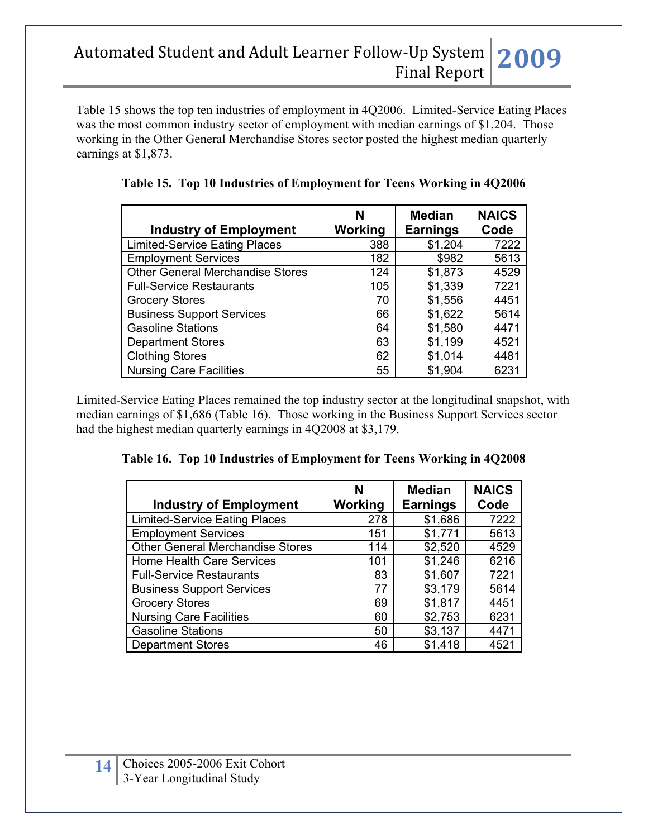Table 15 shows the top ten industries of employment in 4Q2006. Limited-Service Eating Places was the most common industry sector of employment with median earnings of \$1,204. Those working in the Other General Merchandise Stores sector posted the highest median quarterly earnings at \$1,873.

| <b>Industry of Employment</b>           | N<br>Working | <b>Median</b><br><b>Earnings</b> | <b>NAICS</b><br>Code |
|-----------------------------------------|--------------|----------------------------------|----------------------|
| <b>Limited-Service Eating Places</b>    | 388          | \$1,204                          | 7222                 |
| <b>Employment Services</b>              | 182          | \$982                            | 5613                 |
| <b>Other General Merchandise Stores</b> | 124          | \$1,873                          | 4529                 |
| <b>Full-Service Restaurants</b>         | 105          | \$1,339                          | 7221                 |
| <b>Grocery Stores</b>                   | 70           | \$1,556                          | 4451                 |
| <b>Business Support Services</b>        | 66           | \$1,622                          | 5614                 |
| <b>Gasoline Stations</b>                | 64           | \$1,580                          | 4471                 |
| <b>Department Stores</b>                | 63           | \$1,199                          | 4521                 |
| <b>Clothing Stores</b>                  | 62           | \$1,014                          | 4481                 |
| <b>Nursing Care Facilities</b>          | 55           | \$1,904                          | 6231                 |

**Table 15. Top 10 Industries of Employment for Teens Working in 4Q2006** 

Limited-Service Eating Places remained the top industry sector at the longitudinal snapshot, with median earnings of \$1,686 (Table 16). Those working in the Business Support Services sector had the highest median quarterly earnings in 4Q2008 at \$3,179.

|  |  |  | Table 16. Top 10 Industries of Employment for Teens Working in 4Q2008 |
|--|--|--|-----------------------------------------------------------------------|
|--|--|--|-----------------------------------------------------------------------|

| <b>Industry of Employment</b>           | N<br><b>Working</b> | <b>Median</b><br><b>Earnings</b> | <b>NAICS</b><br>Code |
|-----------------------------------------|---------------------|----------------------------------|----------------------|
| <b>Limited-Service Eating Places</b>    | 278                 | \$1,686                          | 7222                 |
| <b>Employment Services</b>              | 151                 | \$1,771                          | 5613                 |
| <b>Other General Merchandise Stores</b> | 114                 | \$2,520                          | 4529                 |
| <b>Home Health Care Services</b>        | 101                 | \$1,246                          | 6216                 |
| <b>Full-Service Restaurants</b>         | 83                  | \$1,607                          | 7221                 |
| <b>Business Support Services</b>        | 77                  | \$3,179                          | 5614                 |
| <b>Grocery Stores</b>                   | 69                  | \$1,817                          | 4451                 |
| <b>Nursing Care Facilities</b>          | 60                  | \$2,753                          | 6231                 |
| <b>Gasoline Stations</b>                | 50                  | \$3,137                          | 4471                 |
| <b>Department Stores</b>                | 46                  | \$1,418                          | 4521                 |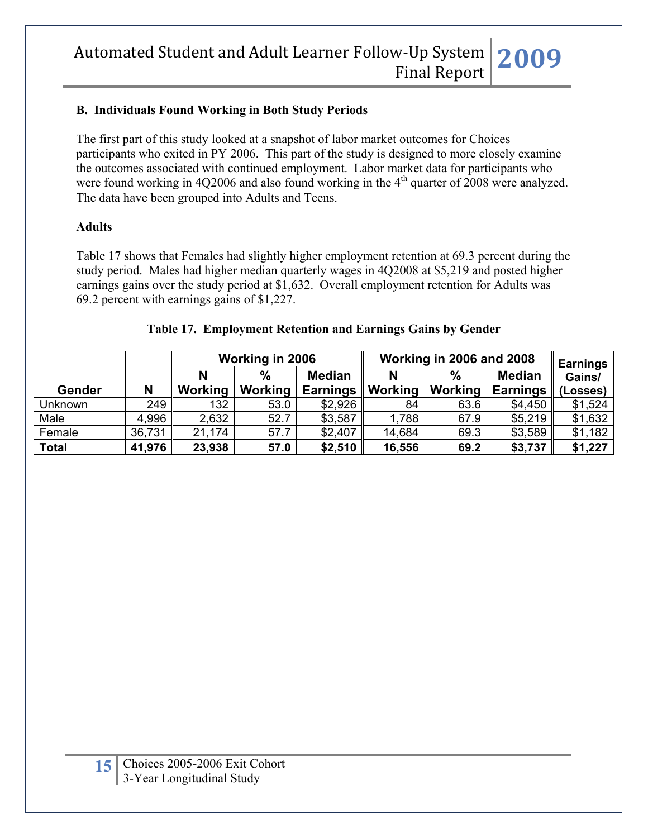#### **B. Individuals Found Working in Both Study Periods**

The first part of this study looked at a snapshot of labor market outcomes for Choices participants who exited in PY 2006. This part of the study is designed to more closely examine the outcomes associated with continued employment. Labor market data for participants who were found working in 4Q2006 and also found working in the  $4<sup>th</sup>$  quarter of 2008 were analyzed. The data have been grouped into Adults and Teens.

#### **Adults**

Table 17 shows that Females had slightly higher employment retention at 69.3 percent during the study period. Males had higher median quarterly wages in 4Q2008 at \$5,219 and posted higher earnings gains over the study period at \$1,632. Overall employment retention for Adults was 69.2 percent with earnings gains of \$1,227.

|                |        | Working in 2006 |                | Working in 2006 and 2008 | <b>Earnings</b> |               |                 |          |
|----------------|--------|-----------------|----------------|--------------------------|-----------------|---------------|-----------------|----------|
|                |        |                 | $\%$           | <b>Median</b>            | N               | $\frac{0}{0}$ | <b>Median</b>   | Gains/   |
| <b>Gender</b>  | N      | Working         | <b>Working</b> | <b>Earnings</b>          | Working         | Working       | <b>Earnings</b> | (Losses) |
| <b>Unknown</b> | 249    | 132             | 53.0           | \$2,926                  | 84              | 63.6          | \$4,450         | \$1,524  |
| Male           | 4,996  | 2,632           | 52.7           | \$3,587                  | 1,788           | 67.9          | \$5,219         | \$1,632  |
| Female         | 36,731 | 21,174          | 57.7           | \$2,407                  | 14,684          | 69.3          | \$3,589         | \$1,182  |
| <b>Total</b>   | 41,976 | 23,938          | 57.0           | \$2,510                  | 16,556          | 69.2          | \$3,737         | \$1,227  |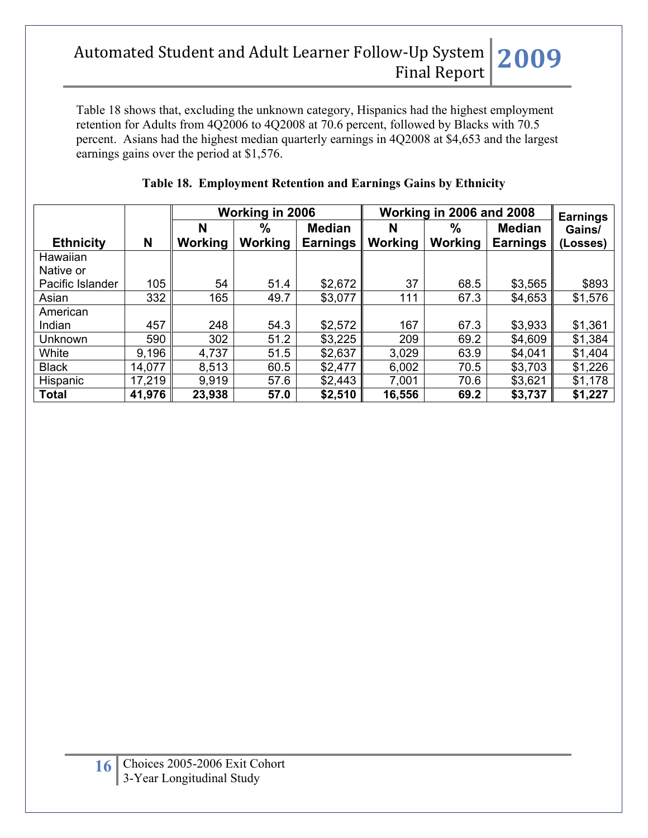Table 18 shows that, excluding the unknown category, Hispanics had the highest employment retention for Adults from 4Q2006 to 4Q2008 at 70.6 percent, followed by Blacks with 70.5 percent. Asians had the highest median quarterly earnings in 4Q2008 at \$4,653 and the largest earnings gains over the period at \$1,576.

|                  |        | Working in 2006 |         |                 | Working in 2006 and 2008 | <b>Earnings</b> |                 |          |
|------------------|--------|-----------------|---------|-----------------|--------------------------|-----------------|-----------------|----------|
|                  |        | N               | %       | <b>Median</b>   | N                        | $\%$            | <b>Median</b>   | Gains/   |
| <b>Ethnicity</b> | N      | Working         | Working | <b>Earnings</b> | Working                  | Working         | <b>Earnings</b> | (Losses) |
| Hawaiian         |        |                 |         |                 |                          |                 |                 |          |
| Native or        |        |                 |         |                 |                          |                 |                 |          |
| Pacific Islander | 105    | 54              | 51.4    | \$2,672         | 37                       | 68.5            | \$3,565         | \$893    |
| Asian            | 332    | 165             | 49.7    | \$3,077         | 111                      | 67.3            | \$4,653         | \$1,576  |
| American         |        |                 |         |                 |                          |                 |                 |          |
| Indian           | 457    | 248             | 54.3    | \$2,572         | 167                      | 67.3            | \$3,933         | \$1,361  |
| Unknown          | 590    | 302             | 51.2    | \$3,225         | 209                      | 69.2            | \$4,609         | \$1,384  |
| White            | 9,196  | 4,737           | 51.5    | \$2,637         | 3,029                    | 63.9            | \$4,041         | \$1,404  |
| <b>Black</b>     | 14,077 | 8,513           | 60.5    | \$2,477         | 6,002                    | 70.5            | \$3,703         | \$1,226  |
| Hispanic         | 17,219 | 9,919           | 57.6    | \$2,443         | 7,001                    | 70.6            | \$3,621         | \$1,178  |
| <b>Total</b>     | 41,976 | 23,938          | 57.0    | \$2,510         | 16,556                   | 69.2            | \$3,737         | \$1,227  |

### **Table 18. Employment Retention and Earnings Gains by Ethnicity**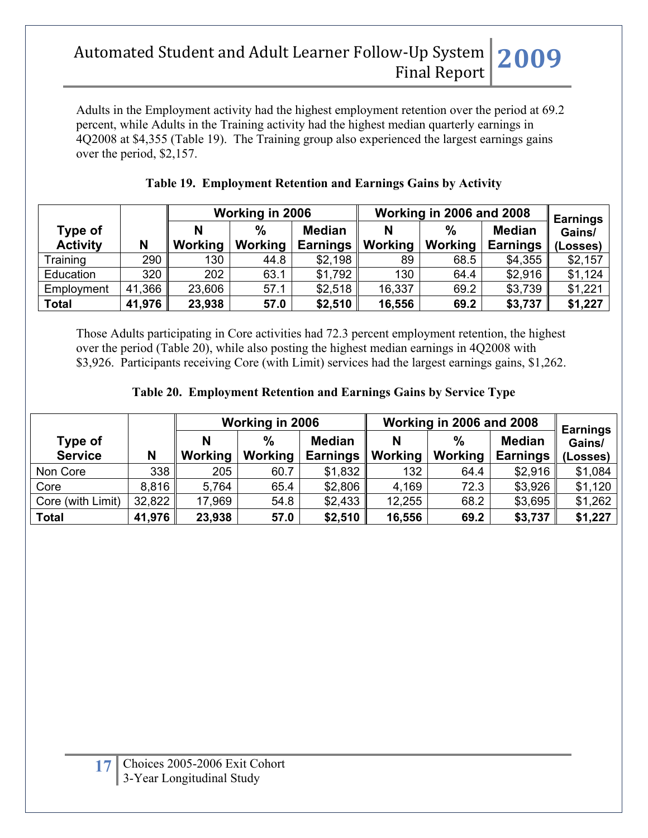Adults in the Employment activity had the highest employment retention over the period at 69.2 percent, while Adults in the Training activity had the highest median quarterly earnings in 4Q2008 at \$4,355 (Table 19). The Training group also experienced the largest earnings gains over the period, \$2,157.

|                            |        |         | Working in 2006                 |                                  | Working in 2006 and 2008 | <b>Earnings</b>          |                                  |                    |
|----------------------------|--------|---------|---------------------------------|----------------------------------|--------------------------|--------------------------|----------------------------------|--------------------|
| Type of<br><b>Activity</b> | N      | Working | $\frac{0}{0}$<br><b>Working</b> | <b>Median</b><br><b>Earnings</b> | N<br>Working             | $\frac{0}{0}$<br>Working | <b>Median</b><br><b>Earnings</b> | Gains/<br>(Losses) |
| Training                   | 290    | 130     | 44.8                            | \$2,198                          | 89                       | 68.5                     | \$4,355                          | \$2,157            |
| Education                  | 320    | 202     | 63.1                            | \$1,792                          | 130                      | 64.4                     | \$2,916                          | \$1,124            |
| Employment                 | 41,366 | 23,606  | 57.1                            | \$2,518                          | 16,337                   | 69.2                     | \$3,739                          | \$1,221            |
| <b>Total</b>               | 41,976 | 23,938  | 57.0                            | \$2,510                          | 16,556                   | 69.2                     | \$3,737                          | \$1,227            |

### **Table 19. Employment Retention and Earnings Gains by Activity**

Those Adults participating in Core activities had 72.3 percent employment retention, the highest over the period (Table 20), while also posting the highest median earnings in 4Q2008 with \$3,926. Participants receiving Core (with Limit) services had the largest earnings gains, \$1,262.

### **Table 20. Employment Retention and Earnings Gains by Service Type**

|                   |        | Working in 2006 |                |                 | Working in 2006 and 2008 | <b>Earnings</b> |                 |          |
|-------------------|--------|-----------------|----------------|-----------------|--------------------------|-----------------|-----------------|----------|
| Type of           |        | N               | $\%$           | <b>Median</b>   | N                        | $\frac{0}{0}$   | <b>Median</b>   | Gains/   |
| <b>Service</b>    | N      | Working         | <b>Working</b> | <b>Earnings</b> | Working                  | Working         | <b>Earnings</b> | (Losses) |
| Non Core          | 338    | 205             | 60.7           | \$1,832         | 132                      | 64.4            | \$2,916         | \$1,084  |
| Core              | 8,816  | 5,764           | 65.4           | \$2,806         | 4,169                    | 72.3            | \$3,926         | \$1,120  |
| Core (with Limit) | 32,822 | 17,969          | 54.8           | \$2,433         | 12,255                   | 68.2            | \$3,695         | \$1,262  |
| <b>Total</b>      | 41,976 | 23,938          | 57.0           | \$2,510         | 16,556                   | 69.2            | \$3,737         | \$1,227  |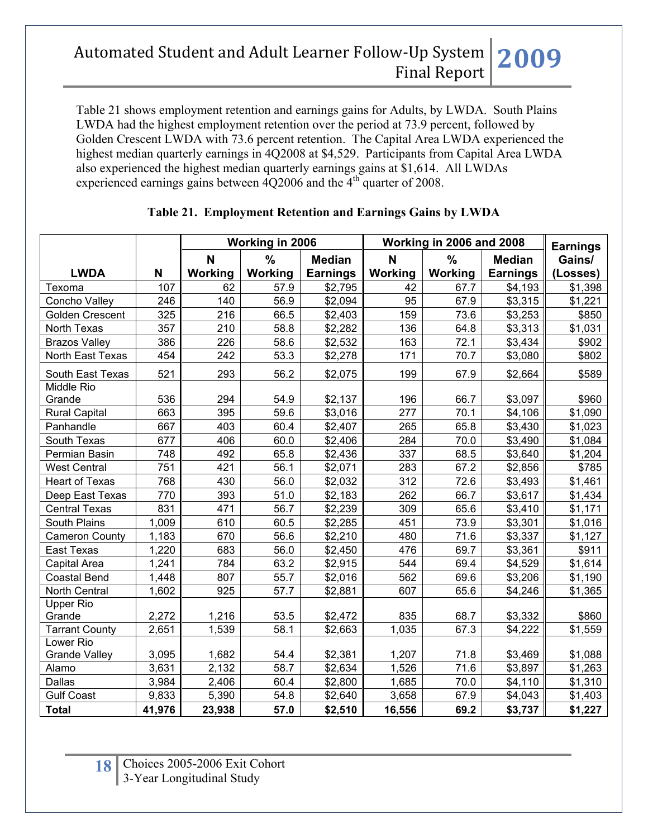Table 21 shows employment retention and earnings gains for Adults, by LWDA. South Plains LWDA had the highest employment retention over the period at 73.9 percent, followed by Golden Crescent LWDA with 73.6 percent retention. The Capital Area LWDA experienced the highest median quarterly earnings in 4Q2008 at \$4,529. Participants from Capital Area LWDA also experienced the highest median quarterly earnings gains at \$1,614. All LWDAs experienced earnings gains between  $\frac{4Q2006}{6}$  and the  $\frac{4}{10}$  quarter of 2008.

|                       |        | Working in 2006 |               |                 |         | Working in 2006 and 2008 |                 | <b>Earnings</b> |
|-----------------------|--------|-----------------|---------------|-----------------|---------|--------------------------|-----------------|-----------------|
|                       |        | N               | $\frac{0}{0}$ | <b>Median</b>   | N       | $\frac{0}{0}$            | <b>Median</b>   | Gains/          |
| <b>LWDA</b>           | N      | Working         | Working       | <b>Earnings</b> | Working | Working                  | <b>Earnings</b> | (Losses)        |
| Texoma                | 107    | 62              | 57.9          | \$2,795         | 42      | 67.7                     | \$4,193         | \$1,398         |
| Concho Valley         | 246    | 140             | 56.9          | \$2,094         | 95      | 67.9                     | \$3,315         | \$1,221         |
| Golden Crescent       | 325    | 216             | 66.5          | \$2,403         | 159     | 73.6                     | \$3,253         | \$850           |
| North Texas           | 357    | 210             | 58.8          | \$2,282         | 136     | 64.8                     | \$3,313         | \$1,031         |
| <b>Brazos Valley</b>  | 386    | 226             | 58.6          | \$2,532         | 163     | 72.1                     | \$3,434         | \$902           |
| North East Texas      | 454    | 242             | 53.3          | \$2,278         | 171     | 70.7                     | \$3,080         | \$802           |
| South East Texas      | 521    | 293             | 56.2          | \$2,075         | 199     | 67.9                     | \$2,664         | \$589           |
| Middle Rio            |        |                 |               |                 |         |                          |                 |                 |
| Grande                | 536    | 294             | 54.9          | \$2,137         | 196     | 66.7                     | \$3,097         | \$960           |
| <b>Rural Capital</b>  | 663    | 395             | 59.6          | \$3,016         | 277     | 70.1                     | \$4,106         | \$1,090         |
| Panhandle             | 667    | 403             | 60.4          | \$2,407         | 265     | 65.8                     | \$3,430         | \$1,023         |
| South Texas           | 677    | 406             | 60.0          | \$2,406         | 284     | 70.0                     | \$3,490         | \$1,084         |
| Permian Basin         | 748    | 492             | 65.8          | \$2,436         | 337     | 68.5                     | \$3,640         | \$1,204         |
| <b>West Central</b>   | 751    | 421             | 56.1          | \$2,071         | 283     | 67.2                     | \$2,856         | \$785           |
| <b>Heart of Texas</b> | 768    | 430             | 56.0          | \$2,032         | 312     | 72.6                     | \$3,493         | \$1,461         |
| Deep East Texas       | 770    | 393             | 51.0          | \$2,183         | 262     | 66.7                     | \$3,617         | \$1,434         |
| <b>Central Texas</b>  | 831    | 471             | 56.7          | \$2,239         | 309     | 65.6                     | \$3,410         | \$1,171         |
| South Plains          | 1,009  | 610             | 60.5          | \$2,285         | 451     | 73.9                     | \$3,301         | \$1,016         |
| <b>Cameron County</b> | 1,183  | 670             | 56.6          | \$2,210         | 480     | 71.6                     | \$3,337         | \$1,127         |
| East Texas            | 1,220  | 683             | 56.0          | \$2,450         | 476     | 69.7                     | \$3,361         | \$911           |
| Capital Area          | 1,241  | 784             | 63.2          | \$2,915         | 544     | 69.4                     | \$4,529         | \$1,614         |
| <b>Coastal Bend</b>   | 1,448  | 807             | 55.7          | \$2,016         | 562     | 69.6                     | \$3,206         | \$1,190         |
| North Central         | 1,602  | 925             | 57.7          | \$2,881         | 607     | 65.6                     | \$4,246         | \$1,365         |
| <b>Upper Rio</b>      |        |                 |               |                 |         |                          |                 |                 |
| Grande                | 2,272  | 1,216           | 53.5          | \$2,472         | 835     | 68.7                     | \$3,332         | \$860           |
| <b>Tarrant County</b> | 2,651  | 1,539           | 58.1          | \$2,663         | 1,035   | 67.3                     | \$4,222         | \$1,559         |
| Lower Rio             |        |                 |               |                 |         |                          |                 |                 |
| <b>Grande Valley</b>  | 3,095  | 1,682           | 54.4          | \$2,381         | 1,207   | 71.8                     | \$3,469         | \$1,088         |
| Alamo                 | 3,631  | 2,132           | 58.7          | \$2,634         | 1,526   | 71.6                     | \$3,897         | \$1,263         |
| <b>Dallas</b>         | 3,984  | 2,406           | 60.4          | \$2,800         | 1,685   | 70.0                     | \$4,110         | \$1,310         |
| <b>Gulf Coast</b>     | 9,833  | 5,390           | 54.8          | \$2,640         | 3,658   | 67.9                     | \$4,043         | \$1,403         |
| <b>Total</b>          | 41,976 | 23,938          | 57.0          | \$2,510         | 16,556  | 69.2                     | \$3,737         | \$1,227         |

### **Table 21. Employment Retention and Earnings Gains by LWDA**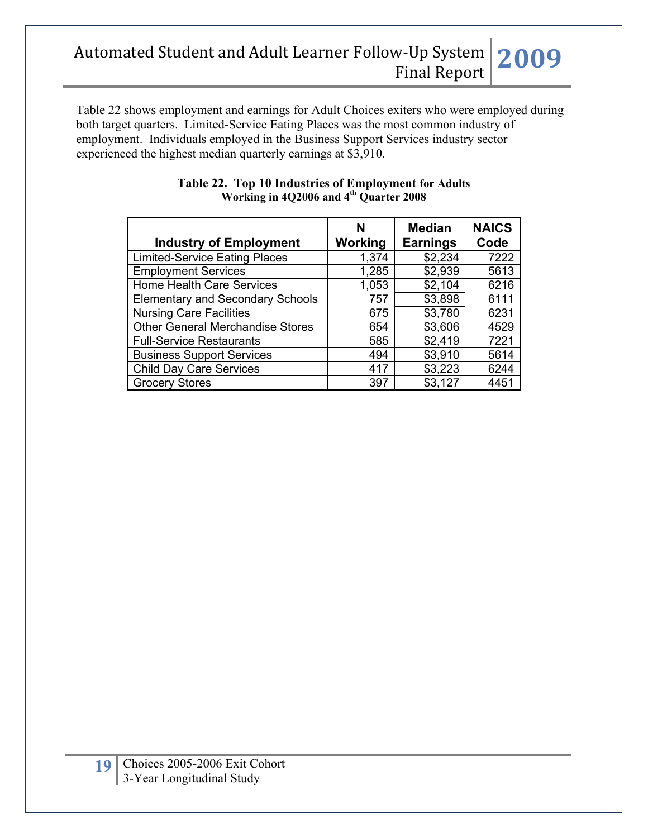Table 22 shows employment and earnings for Adult Choices exiters who were employed during both target quarters. Limited-Service Eating Places was the most common industry of employment. Individuals employed in the Business Support Services industry sector experienced the highest median quarterly earnings at \$3,910.

| <b>Industry of Employment</b>           | N<br>Working | <b>Median</b><br><b>Earnings</b> | <b>NAICS</b><br>Code |
|-----------------------------------------|--------------|----------------------------------|----------------------|
| <b>Limited-Service Eating Places</b>    | 1,374        | \$2,234                          | 7222                 |
| <b>Employment Services</b>              | 1,285        | \$2,939                          | 5613                 |
| <b>Home Health Care Services</b>        | 1,053        | \$2,104                          | 6216                 |
| <b>Elementary and Secondary Schools</b> | 757          | \$3,898                          | 6111                 |
| <b>Nursing Care Facilities</b>          | 675          | \$3,780                          | 6231                 |
| <b>Other General Merchandise Stores</b> | 654          | \$3,606                          | 4529                 |
| <b>Full-Service Restaurants</b>         | 585          | \$2,419                          | 7221                 |
| <b>Business Support Services</b>        | 494          | \$3,910                          | 5614                 |
| <b>Child Day Care Services</b>          | 417          | \$3,223                          | 6244                 |
| <b>Grocery Stores</b>                   | 397          | \$3,127                          | 4451                 |

#### **Table 22. Top 10 Industries of Employment for Adults Working in 4Q2006 and 4th Quarter 2008**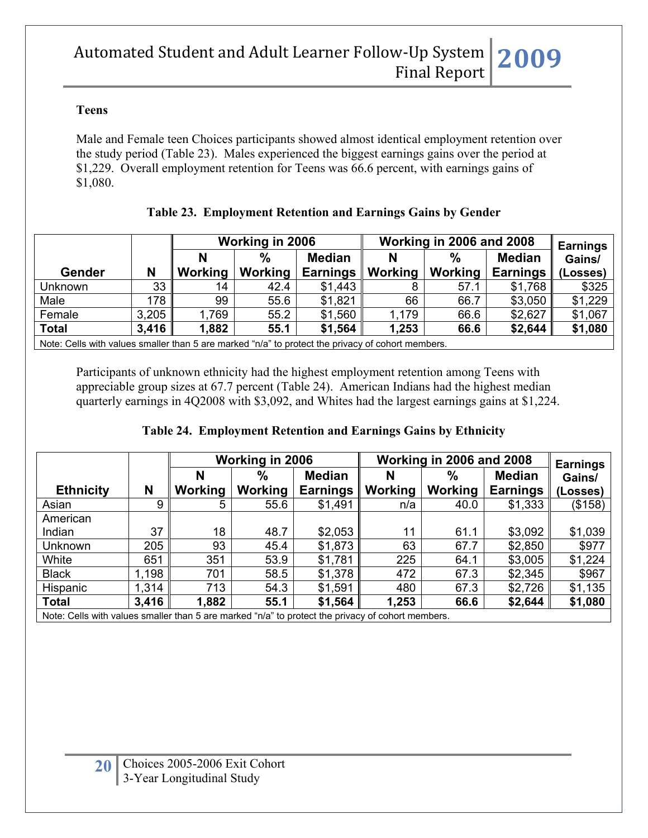#### **Teens**

Male and Female teen Choices participants showed almost identical employment retention over the study period (Table 23). Males experienced the biggest earnings gains over the period at \$1,229. Overall employment retention for Teens was 66.6 percent, with earnings gains of \$1,080.

|                                                                                                   |       |         | Working in 2006 |                                  |              | <b>Working in 2006 and 2008</b> |                                  | <b>Earnings</b>    |
|---------------------------------------------------------------------------------------------------|-------|---------|-----------------|----------------------------------|--------------|---------------------------------|----------------------------------|--------------------|
| <b>Gender</b>                                                                                     | N     | Working | %<br>Working    | <b>Median</b><br><b>Earnings</b> | N<br>Working | $\frac{0}{0}$<br>Working        | <b>Median</b><br><b>Earnings</b> | Gains/<br>(Losses) |
|                                                                                                   |       |         |                 |                                  |              |                                 |                                  |                    |
| Unknown                                                                                           | 33    | 14      | 42.4            | \$1,443                          |              | 57.1                            | \$1,768                          | \$325              |
| Male                                                                                              | 178   | 99      | 55.6            | \$1,821                          | 66           | 66.7                            | \$3,050                          | \$1,229            |
| Female                                                                                            | 3,205 | 1,769   | 55.2            | \$1,560                          | 1,179        | 66.6                            | \$2,627                          | \$1,067            |
| <b>Total</b>                                                                                      | 3,416 | 1,882   | 55.1            | \$1,564                          | 1,253        | 66.6                            | \$2,644                          | \$1,080            |
| Note: Cells with values smaller than 5 are marked "n/a" to protect the privacy of cohort members. |       |         |                 |                                  |              |                                 |                                  |                    |

### **Table 23. Employment Retention and Earnings Gains by Gender**

Participants of unknown ethnicity had the highest employment retention among Teens with appreciable group sizes at 67.7 percent (Table 24). American Indians had the highest median quarterly earnings in 4Q2008 with \$3,092, and Whites had the largest earnings gains at \$1,224.

### **Table 24. Employment Retention and Earnings Gains by Ethnicity**

|                  |       |         | Working in 2006 |                 |                | Working in 2006 and 2008 |                 | <b>Earnings</b> |
|------------------|-------|---------|-----------------|-----------------|----------------|--------------------------|-----------------|-----------------|
|                  |       |         | $\%$            | <b>Median</b>   | N              | $\%$                     | <b>Median</b>   | Gains/          |
| <b>Ethnicity</b> | N     | Working | Working         | <b>Earnings</b> | <b>Working</b> | <b>Working</b>           | <b>Earnings</b> | (Losses)        |
| Asian            | 9     | 5       | 55.6            | \$1,491         | n/a            | 40.0                     | \$1,333         | (\$158)         |
| American         |       |         |                 |                 |                |                          |                 |                 |
| Indian           | 37    | 18      | 48.7            | \$2,053         | 11             | 61.1                     | \$3,092         | \$1,039         |
| Unknown          | 205   | 93      | 45.4            | \$1,873         | 63             | 67.7                     | \$2,850         | \$977           |
| White            | 651   | 351     | 53.9            | \$1,781         | 225            | 64.1                     | \$3,005         | \$1,224         |
| <b>Black</b>     | 1,198 | 701     | 58.5            | \$1,378         | 472            | 67.3                     | \$2,345         | \$967           |
| Hispanic         | 1,314 | 713     | 54.3            | \$1,591         | 480            | 67.3                     | \$2,726         | \$1,135         |
| <b>Total</b>     | 3,416 | 1,882   | 55.1            | \$1,564         | 1,253          | 66.6                     | \$2,644         | \$1,080         |

Note: Cells with values smaller than 5 are marked "n/a" to protect the privacy of cohort members.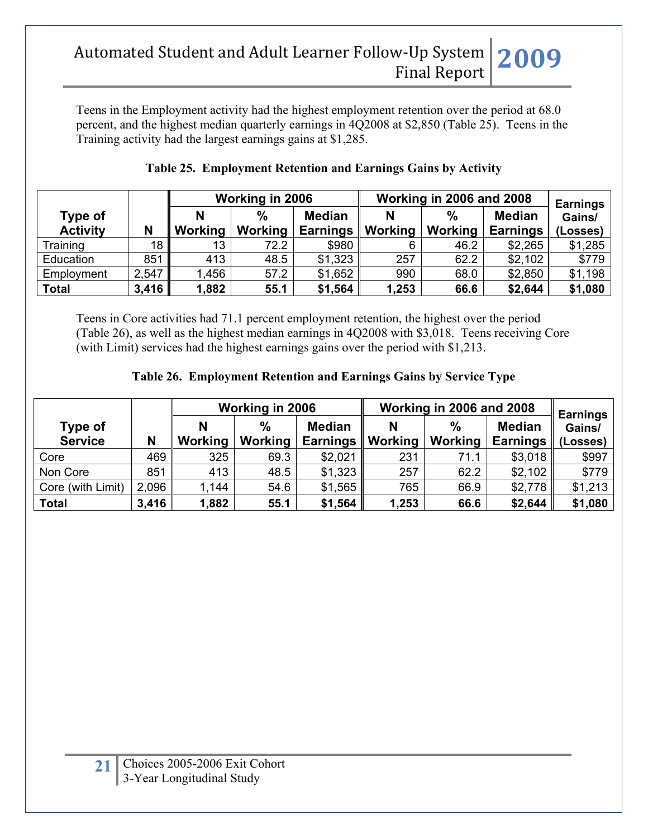Teens in the Employment activity had the highest employment retention over the period at 68.0 percent, and the highest median quarterly earnings in 4Q2008 at \$2,850 (Table 25). Teens in the Training activity had the largest earnings gains at \$1,285.

|                 |       | Working in 2006 |         |                 | Working in 2006 and 2008 | <b>Earnings</b> |                 |          |
|-----------------|-------|-----------------|---------|-----------------|--------------------------|-----------------|-----------------|----------|
| Type of         |       |                 | %       | <b>Median</b>   | N                        | $\frac{0}{0}$   | <b>Median</b>   | Gains/   |
| <b>Activity</b> | N     | Working         | Working | <b>Earnings</b> | Working                  | Working         | <b>Earnings</b> | (Losses) |
| Training        | 18 I  | 13              | 72.2    | \$980           |                          | 46.2            | \$2,265         | \$1,285  |
| Education       | 851   | 413             | 48.5    | \$1,323         | 257                      | 62.2            | \$2,102         | \$779    |
| Employment      | 2,547 | .456            | 57.2    | \$1,652         | 990                      | 68.0            | \$2,850         | \$1,198  |
| <b>Total</b>    | 3,416 | 1,882           | 55.1    | \$1,564         | 1,253                    | 66.6            | \$2,644         | \$1,080  |

### **Table 25. Employment Retention and Earnings Gains by Activity**

Teens in Core activities had 71.1 percent employment retention, the highest over the period (Table 26), as well as the highest median earnings in 4Q2008 with \$3,018. Teens receiving Core (with Limit) services had the highest earnings gains over the period with \$1,213.

| Table 26. Employment Retention and Earnings Gains by Service Type |  |  |
|-------------------------------------------------------------------|--|--|
|                                                                   |  |  |

|                           |       | Working in 2006 |                                 |                                  | Working in 2006 and 2008 | <b>Earnings</b>          |                                  |                    |
|---------------------------|-------|-----------------|---------------------------------|----------------------------------|--------------------------|--------------------------|----------------------------------|--------------------|
| Type of<br><b>Service</b> | N     | Working         | $\frac{0}{0}$<br><b>Working</b> | <b>Median</b><br><b>Earnings</b> | N<br>Working             | $\frac{0}{0}$<br>Working | <b>Median</b><br><b>Earnings</b> | Gains/<br>(Losses) |
| Core                      | 469   | 325             | 69.3                            | \$2,021                          | 231                      | 71.1                     | \$3,018                          | \$997              |
| Non Core                  | 851   | 413             | 48.5                            | \$1,323                          | 257                      | 62.2                     | \$2,102                          | \$779              |
| Core (with Limit)         | 2,096 | 1,144           | 54.6                            | \$1,565                          | 765                      | 66.9                     | \$2,778                          | \$1,213            |
| <b>Total</b>              | 3,416 | 1,882           | 55.1                            | \$1,564                          | 1,253                    | 66.6                     | \$2,644                          | \$1,080            |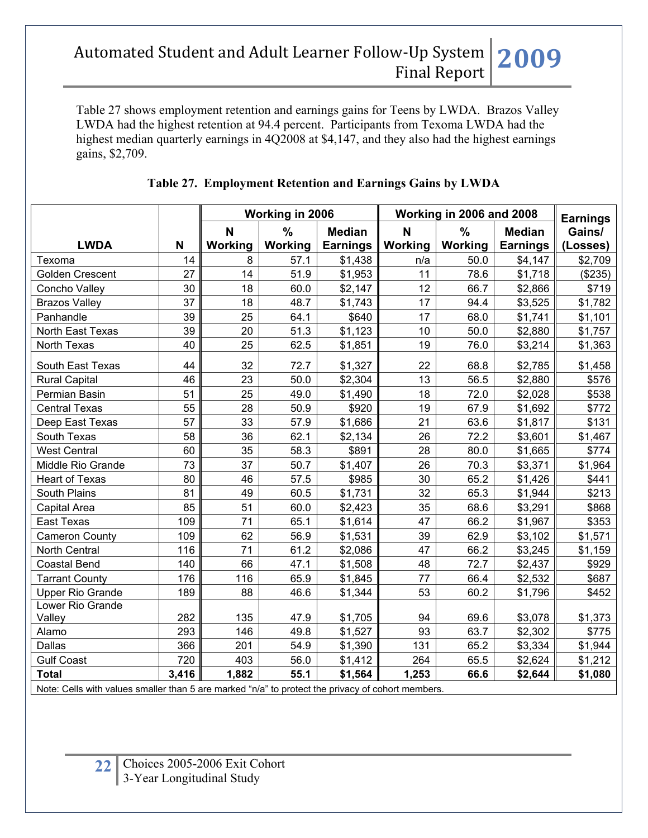Table 27 shows employment retention and earnings gains for Teens by LWDA. Brazos Valley LWDA had the highest retention at 94.4 percent. Participants from Texoma LWDA had the highest median quarterly earnings in 4Q2008 at \$4,147, and they also had the highest earnings gains, \$2,709.

|                                                                                                                  |       | Working in 2006 |               |                 |         | Working in 2006 and 2008 |                 | <b>Earnings</b> |
|------------------------------------------------------------------------------------------------------------------|-------|-----------------|---------------|-----------------|---------|--------------------------|-----------------|-----------------|
|                                                                                                                  |       | N               | $\frac{0}{0}$ | <b>Median</b>   | N       | $\frac{9}{6}$            | <b>Median</b>   | Gains/          |
| <b>LWDA</b>                                                                                                      | N     | Working         | Working       | <b>Earnings</b> | Working | Working                  | <b>Earnings</b> | (Losses)        |
| Texoma                                                                                                           | 14    | 8               | 57.1          | \$1,438         | n/a     | 50.0                     | \$4,147         | \$2,709         |
| Golden Crescent                                                                                                  | 27    | 14              | 51.9          | \$1,953         | 11      | 78.6                     | \$1,718         | (\$235)         |
| Concho Valley                                                                                                    | 30    | 18              | 60.0          | \$2,147         | 12      | 66.7                     | \$2,866         | \$719           |
| <b>Brazos Valley</b>                                                                                             | 37    | 18              | 48.7          | \$1,743         | 17      | 94.4                     | \$3,525         | \$1,782         |
| Panhandle                                                                                                        | 39    | 25              | 64.1          | \$640           | 17      | 68.0                     | \$1,741         | \$1,101         |
| North East Texas                                                                                                 | 39    | 20              | 51.3          | \$1,123         | 10      | 50.0                     | \$2,880         | \$1,757         |
| North Texas                                                                                                      | 40    | 25              | 62.5          | \$1,851         | 19      | 76.0                     | \$3,214         | \$1,363         |
| South East Texas                                                                                                 | 44    | 32              | 72.7          | \$1,327         | 22      | 68.8                     | \$2,785         | \$1,458         |
| <b>Rural Capital</b>                                                                                             | 46    | 23              | 50.0          | \$2,304         | 13      | 56.5                     | \$2,880         | \$576           |
| Permian Basin                                                                                                    | 51    | 25              | 49.0          | \$1,490         | 18      | 72.0                     | \$2,028         | \$538           |
| <b>Central Texas</b>                                                                                             | 55    | 28              | 50.9          | \$920           | 19      | 67.9                     | \$1,692         | \$772           |
| Deep East Texas                                                                                                  | 57    | 33              | 57.9          | \$1,686         | 21      | 63.6                     | \$1,817         | \$131           |
| South Texas                                                                                                      | 58    | 36              | 62.1          | \$2,134         | 26      | 72.2                     | \$3,601         | \$1,467         |
| <b>West Central</b>                                                                                              | 60    | 35              | 58.3          | \$891           | 28      | 80.0                     | \$1,665         | \$774           |
| Middle Rio Grande                                                                                                | 73    | 37              | 50.7          | \$1,407         | 26      | 70.3                     | \$3,371         | \$1,964         |
| <b>Heart of Texas</b>                                                                                            | 80    | 46              | 57.5          | \$985           | 30      | 65.2                     | \$1,426         | \$441           |
| South Plains                                                                                                     | 81    | 49              | 60.5          | \$1,731         | 32      | 65.3                     | \$1,944         | \$213           |
| Capital Area                                                                                                     | 85    | 51              | 60.0          | \$2,423         | 35      | 68.6                     | \$3,291         | \$868           |
| <b>East Texas</b>                                                                                                | 109   | 71              | 65.1          | \$1,614         | 47      | 66.2                     | \$1,967         | \$353           |
| <b>Cameron County</b>                                                                                            | 109   | 62              | 56.9          | \$1,531         | 39      | 62.9                     | \$3,102         | \$1,571         |
| North Central                                                                                                    | 116   | 71              | 61.2          | \$2,086         | 47      | 66.2                     | \$3,245         | \$1,159         |
| <b>Coastal Bend</b>                                                                                              | 140   | 66              | 47.1          | \$1,508         | 48      | 72.7                     | \$2,437         | \$929           |
| <b>Tarrant County</b>                                                                                            | 176   | 116             | 65.9          | \$1,845         | 77      | 66.4                     | \$2,532         | \$687           |
| <b>Upper Rio Grande</b>                                                                                          | 189   | 88              | 46.6          | \$1,344         | 53      | 60.2                     | \$1,796         | \$452           |
| Lower Rio Grande                                                                                                 |       |                 |               |                 |         |                          |                 |                 |
| Valley                                                                                                           | 282   | 135             | 47.9          | \$1,705         | 94      | 69.6                     | \$3,078         | \$1,373         |
| Alamo                                                                                                            | 293   | 146             | 49.8          | \$1,527         | 93      | 63.7                     | \$2,302         | \$775           |
| Dallas                                                                                                           | 366   | 201             | 54.9          | \$1,390         | 131     | 65.2                     | \$3,334         | \$1,944         |
| <b>Gulf Coast</b>                                                                                                | 720   | 403             | 56.0          | \$1,412         | 264     | 65.5                     | \$2,624         | \$1,212         |
| <b>Total</b><br>Note: Colle with values smaller than 5 are marked "p/a" to protect the privacy of cohort members | 3,416 | 1,882           | 55.1          | \$1,564         | 1,253   | 66.6                     | \$2,644         | \$1,080         |

### **Table 27. Employment Retention and Earnings Gains by LWDA**

Note: Cells with values smaller than 5 are marked "n/a" to protect the privacy of cohort members.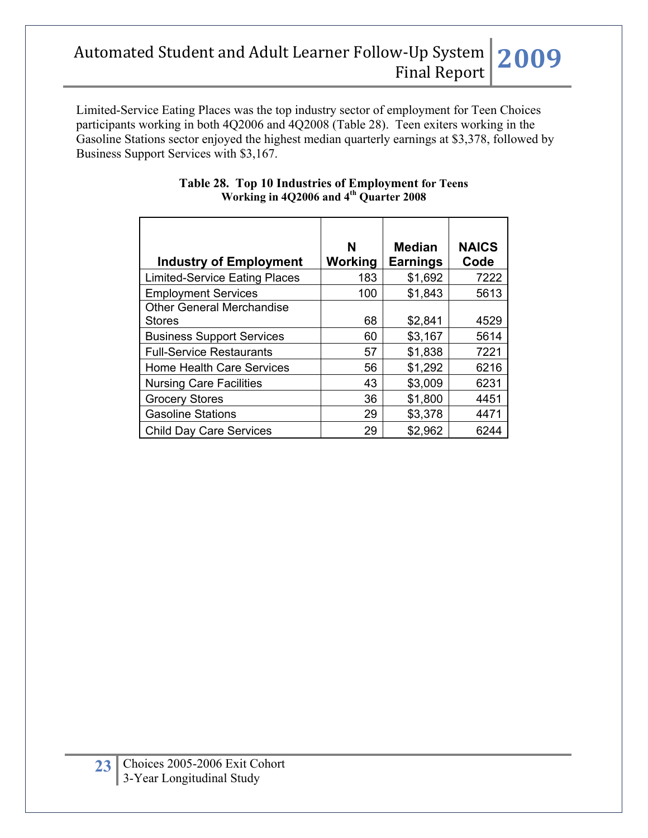Limited-Service Eating Places was the top industry sector of employment for Teen Choices participants working in both 4Q2006 and 4Q2008 (Table 28). Teen exiters working in the Gasoline Stations sector enjoyed the highest median quarterly earnings at \$3,378, followed by Business Support Services with \$3,167.

| <b>Industry of Employment</b>        | N<br><b>Working</b> | <b>Median</b><br><b>Earnings</b> | <b>NAICS</b><br>Code |
|--------------------------------------|---------------------|----------------------------------|----------------------|
| <b>Limited-Service Eating Places</b> | 183                 | \$1,692                          | 7222                 |
| <b>Employment Services</b>           | 100                 | \$1,843                          | 5613                 |
| <b>Other General Merchandise</b>     |                     |                                  |                      |
| <b>Stores</b>                        | 68                  | \$2,841                          | 4529                 |
| <b>Business Support Services</b>     | 60                  | \$3,167                          | 5614                 |
| <b>Full-Service Restaurants</b>      | 57                  | \$1,838                          | 7221                 |
| Home Health Care Services            | 56                  | \$1,292                          | 6216                 |
| <b>Nursing Care Facilities</b>       | 43                  | \$3,009                          | 6231                 |
| <b>Grocery Stores</b>                | 36                  | \$1,800                          | 4451                 |
| <b>Gasoline Stations</b>             | 29                  | \$3,378                          | 4471                 |
| <b>Child Day Care Services</b>       | 29                  | \$2,962                          | 6244                 |

#### **Table 28. Top 10 Industries of Employment for Teens Working in 4Q2006 and 4th Quarter 2008**